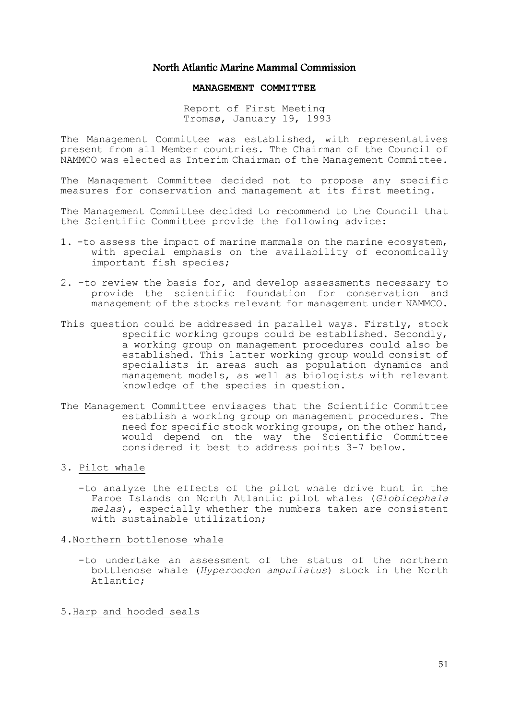## North Atlantic Marine Mammal Commission

## **MANAGEMENT COMMITTEE**

Report of First Meeting Tromsø, January 19, 1993

The Management Committee was established, with representatives present from all Member countries. The Chairman of the Council of NAMMCO was elected as Interim Chairman of the Management Committee.

The Management Committee decided not to propose any specific measures for conservation and management at its first meeting.

The Management Committee decided to recommend to the Council that the Scientific Committee provide the following advice:

- 1. -to assess the impact of marine mammals on the marine ecosystem, with special emphasis on the availability of economically important fish species;
- 2. -to review the basis for, and develop assessments necessary to provide the scientific foundation for conservation and management of the stocks relevant for management under NAMMCO.
- This question could be addressed in parallel ways. Firstly, stock specific working groups could be established. Secondly, a working group on management procedures could also be established. This latter working group would consist of specialists in areas such as population dynamics and management models, as well as biologists with relevant knowledge of the species in question.
- The Management Committee envisages that the Scientific Committee establish a working group on management procedures. The need for specific stock working groups, on the other hand, would depend on the way the Scientific Committee considered it best to address points 3-7 below.

## 3. Pilot whale

 -to analyze the effects of the pilot whale drive hunt in the Faroe Islands on North Atlantic pilot whales (*Globicephala melas*), especially whether the numbers taken are consistent with sustainable utilization;

4.Northern bottlenose whale

 -to undertake an assessment of the status of the northern bottlenose whale (*Hyperoodon ampullatus*) stock in the North Atlantic;

5.Harp and hooded seals